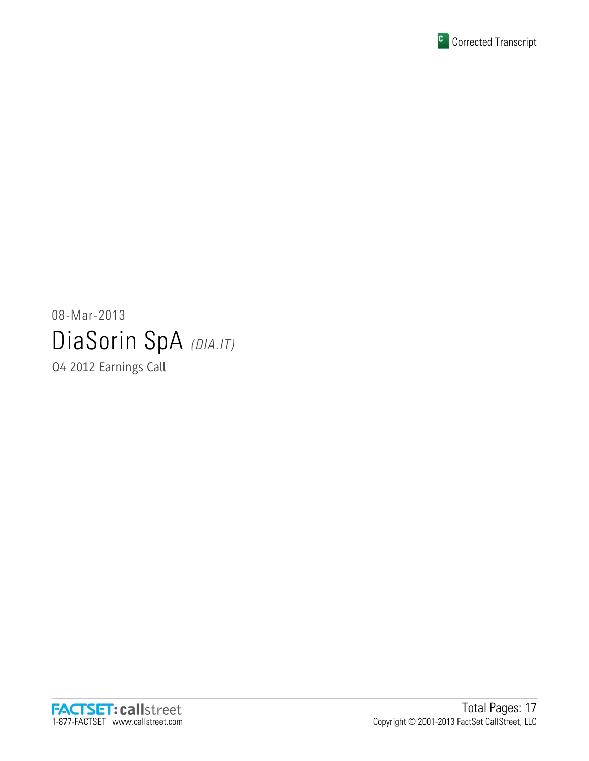

# 08-Mar-2013 DiaSorin SpA (DIA.IT)

Q4 2012 Earnings Call

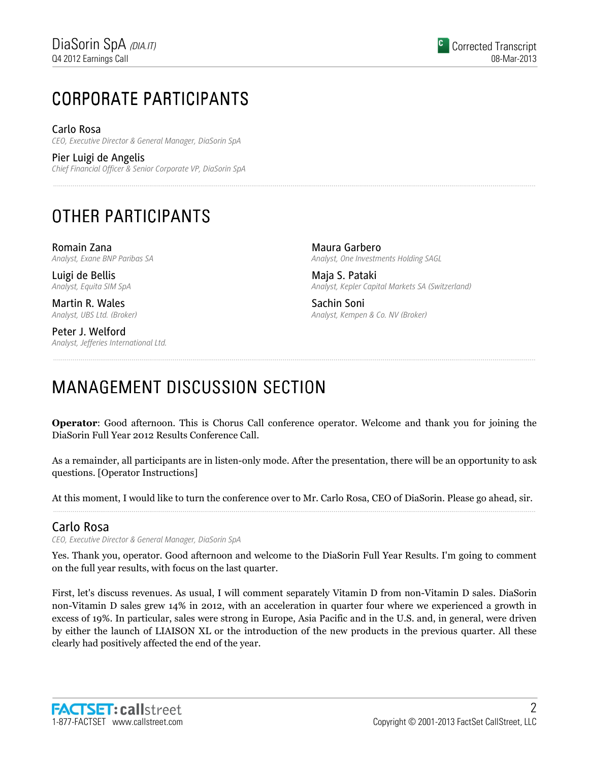## CORPORATE PARTICIPANTS CORPORATE PARTICIPANTS

Carlo Rosa CEO, Executive Director & General Manager, DiaSorin SpA

Pier Luigi de Angelis Chief Financial Officer & Senior Corporate VP, DiaSorin SpA

## OTHER PARTICIPANTS

Romain Zana Analyst, Exane BNP Paribas SA

Luigi de Bellis Analyst, Equita SIM SpA

Martin R. Wales Analyst, UBS Ltd. (Broker)

Peter J. Welford Analyst, Jefferies International Ltd.

Maura Garbero Analyst, One Investments Holding SAGL

Maja S. Pataki Analyst, Kepler Capital Markets SA (Switzerland)

Sachin Soni Analyst, Kempen & Co. NV (Broker)

## MANAGEMENT DISCUSSION SECTION

Operator: Good afternoon. This is Chorus Call conference operator. Welcome and thank you for joining the DiaSorin Full Year 2012 Results Conference Call.

As a remainder, all participants are in listen-only mode. After the presentation, there will be an opportunity to ask questions. [Operator Instructions]

At this moment, I would like to turn the conference over to Mr. Carlo Rosa, CEO of DiaSorin. Please go ahead, sir.

### Carlo Rosa

CEO, Executive Director & General Manager, DiaSorin SpA

Yes. Thank you, operator. Good afternoon and welcome to the DiaSorin Full Year Results. I'm going to comment on the full year results, with focus on the last quarter.

First, let's discuss revenues. As usual, I will comment separately Vitamin D from non-Vitamin D sales. DiaSorin non-Vitamin D sales grew 14% in 2012, with an acceleration in quarter four where we experienced a growth in excess of 19%. In particular, sales were strong in Europe, Asia Pacific and in the U.S. and, in general, were driven by either the launch of LIAISON XL or the introduction of the new products in the previous quarter. All these clearly had positively affected the end of the year.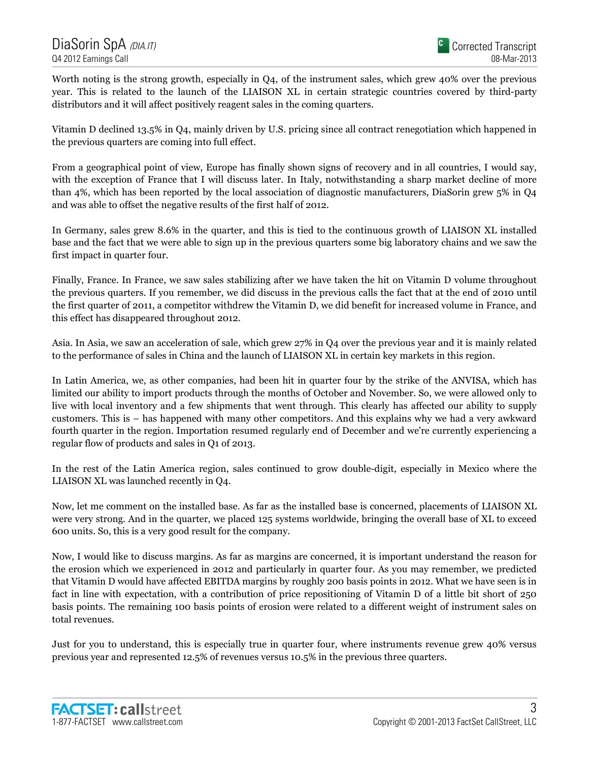Worth noting is the strong growth, especially in Q4, of the instrument sales, which grew 40% over the previous year. This is related to the launch of the LIAISON XL in certain strategic countries covered by third-party distributors and it will affect positively reagent sales in the coming quarters.

Vitamin D declined 13.5% in Q4, mainly driven by U.S. pricing since all contract renegotiation which happened in the previous quarters are coming into full effect.

From a geographical point of view, Europe has finally shown signs of recovery and in all countries, I would say, with the exception of France that I will discuss later. In Italy, notwithstanding a sharp market decline of more than 4%, which has been reported by the local association of diagnostic manufacturers, DiaSorin grew 5% in Q4 and was able to offset the negative results of the first half of 2012.

In Germany, sales grew 8.6% in the quarter, and this is tied to the continuous growth of LIAISON XL installed base and the fact that we were able to sign up in the previous quarters some big laboratory chains and we saw the first impact in quarter four.

Finally, France. In France, we saw sales stabilizing after we have taken the hit on Vitamin D volume throughout the previous quarters. If you remember, we did discuss in the previous calls the fact that at the end of 2010 until the first quarter of 2011, a competitor withdrew the Vitamin D, we did benefit for increased volume in France, and this effect has disappeared throughout 2012.

Asia. In Asia, we saw an acceleration of sale, which grew 27% in Q4 over the previous year and it is mainly related to the performance of sales in China and the launch of LIAISON XL in certain key markets in this region.

In Latin America, we, as other companies, had been hit in quarter four by the strike of the ANVISA, which has limited our ability to import products through the months of October and November. So, we were allowed only to live with local inventory and a few shipments that went through. This clearly has affected our ability to supply customers. This is – has happened with many other competitors. And this explains why we had a very awkward fourth quarter in the region. Importation resumed regularly end of December and we're currently experiencing a regular flow of products and sales in Q1 of 2013.

In the rest of the Latin America region, sales continued to grow double-digit, especially in Mexico where the LIAISON XL was launched recently in Q4.

Now, let me comment on the installed base. As far as the installed base is concerned, placements of LIAISON XL were very strong. And in the quarter, we placed 125 systems worldwide, bringing the overall base of XL to exceed 600 units. So, this is a very good result for the company.

Now, I would like to discuss margins. As far as margins are concerned, it is important understand the reason for the erosion which we experienced in 2012 and particularly in quarter four. As you may remember, we predicted that Vitamin D would have affected EBITDA margins by roughly 200 basis points in 2012. What we have seen is in fact in line with expectation, with a contribution of price repositioning of Vitamin D of a little bit short of 250 basis points. The remaining 100 basis points of erosion were related to a different weight of instrument sales on total revenues.

Just for you to understand, this is especially true in quarter four, where instruments revenue grew 40% versus previous year and represented 12.5% of revenues versus 10.5% in the previous three quarters.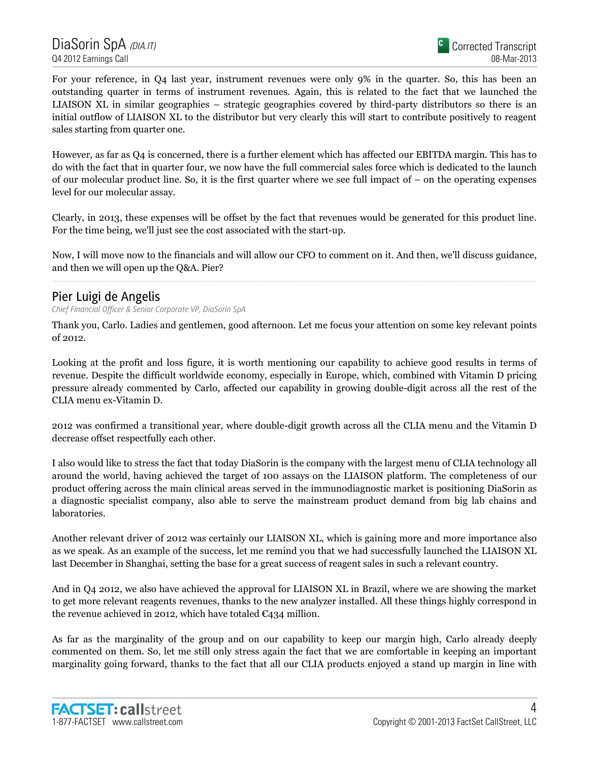For your reference, in Q4 last year, instrument revenues were only 9% in the quarter. So, this has been an outstanding quarter in terms of instrument revenues. Again, this is related to the fact that we launched the LIAISON XL in similar geographies – strategic geographies covered by third-party distributors so there is an initial outflow of LIAISON XL to the distributor but very clearly this will start to contribute positively to reagent sales starting from quarter one.

However, as far as Q4 is concerned, there is a further element which has affected our EBITDA margin. This has to do with the fact that in quarter four, we now have the full commercial sales force which is dedicated to the launch of our molecular product line. So, it is the first quarter where we see full impact of  $-$  on the operating expenses level for our molecular assay.

Clearly, in 2013, these expenses will be offset by the fact that revenues would be generated for this product line. For the time being, we'll just see the cost associated with the start-up.

Now, I will move now to the financials and will allow our CFO to comment on it. And then, we'll discuss guidance, and then we will open up the Q&A. Pier?

### Pier Luigi de Angelis

Chief Financial Officer & Senior Corporate VP, DiaSorin SpA

Thank you, Carlo. Ladies and gentlemen, good afternoon. Let me focus your attention on some key relevant points of 2012.

Looking at the profit and loss figure, it is worth mentioning our capability to achieve good results in terms of revenue. Despite the difficult worldwide economy, especially in Europe, which, combined with Vitamin D pricing pressure already commented by Carlo, affected our capability in growing double-digit across all the rest of the CLIA menu ex-Vitamin D.

2012 was confirmed a transitional year, where double-digit growth across all the CLIA menu and the Vitamin D decrease offset respectfully each other.

I also would like to stress the fact that today DiaSorin is the company with the largest menu of CLIA technology all around the world, having achieved the target of 100 assays on the LIAISON platform. The completeness of our product offering across the main clinical areas served in the immunodiagnostic market is positioning DiaSorin as a diagnostic specialist company, also able to serve the mainstream product demand from big lab chains and laboratories.

Another relevant driver of 2012 was certainly our LIAISON XL, which is gaining more and more importance also as we speak. As an example of the success, let me remind you that we had successfully launched the LIAISON XL last December in Shanghai, setting the base for a great success of reagent sales in such a relevant country.

And in Q4 2012, we also have achieved the approval for LIAISON XL in Brazil, where we are showing the market to get more relevant reagents revenues, thanks to the new analyzer installed. All these things highly correspond in the revenue achieved in 2012, which have totaled  $\epsilon_{434}$  million.

As far as the marginality of the group and on our capability to keep our margin high, Carlo already deeply commented on them. So, let me still only stress again the fact that we are comfortable in keeping an important marginality going forward, thanks to the fact that all our CLIA products enjoyed a stand up margin in line with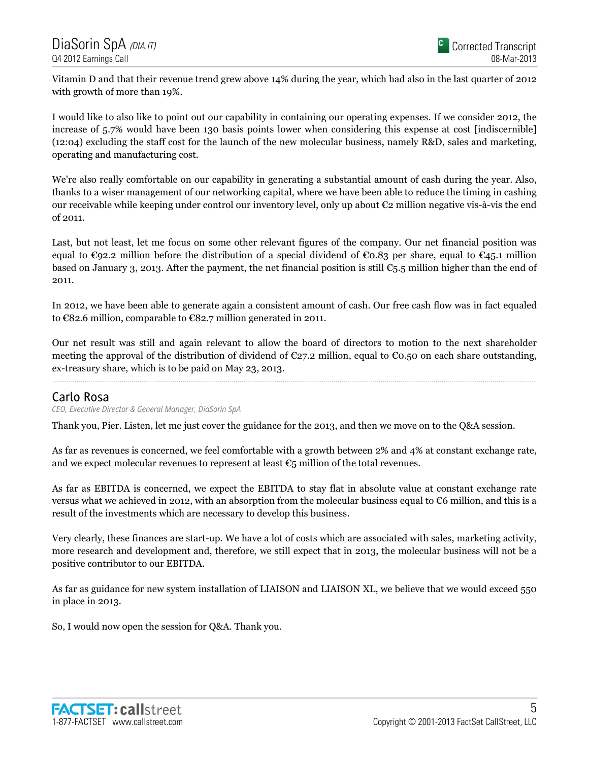Vitamin D and that their revenue trend grew above 14% during the year, which had also in the last quarter of 2012 with growth of more than 19%.

I would like to also like to point out our capability in containing our operating expenses. If we consider 2012, the increase of 5.7% would have been 130 basis points lower when considering this expense at cost [indiscernible] (12:04) excluding the staff cost for the launch of the new molecular business, namely R&D, sales and marketing, operating and manufacturing cost.

We're also really comfortable on our capability in generating a substantial amount of cash during the year. Also, thanks to a wiser management of our networking capital, where we have been able to reduce the timing in cashing our receivable while keeping under control our inventory level, only up about €2 million negative vis-à-vis the end of 2011.

Last, but not least, let me focus on some other relevant figures of the company. Our net financial position was equal to  $\epsilon$ 92.2 million before the distribution of a special dividend of  $\epsilon$ 0.83 per share, equal to  $\epsilon$ 45.1 million based on January 3, 2013. After the payment, the net financial position is still  $\epsilon_{5.5}$  million higher than the end of 2011.

In 2012, we have been able to generate again a consistent amount of cash. Our free cash flow was in fact equaled to €82.6 million, comparable to €82.7 million generated in 2011.

Our net result was still and again relevant to allow the board of directors to motion to the next shareholder meeting the approval of the distribution of dividend of  $\epsilon_{27.2}$  million, equal to  $\epsilon_{0.50}$  on each share outstanding, ex-treasury share, which is to be paid on May 23, 2013.

### Carlo Rosa

CEO, Executive Director & General Manager, DiaSorin SpA

Thank you, Pier. Listen, let me just cover the guidance for the 2013, and then we move on to the Q&A session.

As far as revenues is concerned, we feel comfortable with a growth between 2% and 4% at constant exchange rate, and we expect molecular revenues to represent at least  $\epsilon_5$  million of the total revenues.

As far as EBITDA is concerned, we expect the EBITDA to stay flat in absolute value at constant exchange rate versus what we achieved in 2012, with an absorption from the molecular business equal to €6 million, and this is a result of the investments which are necessary to develop this business.

Very clearly, these finances are start-up. We have a lot of costs which are associated with sales, marketing activity, more research and development and, therefore, we still expect that in 2013, the molecular business will not be a positive contributor to our EBITDA.

As far as guidance for new system installation of LIAISON and LIAISON XL, we believe that we would exceed 550 in place in 2013.

So, I would now open the session for Q&A. Thank you.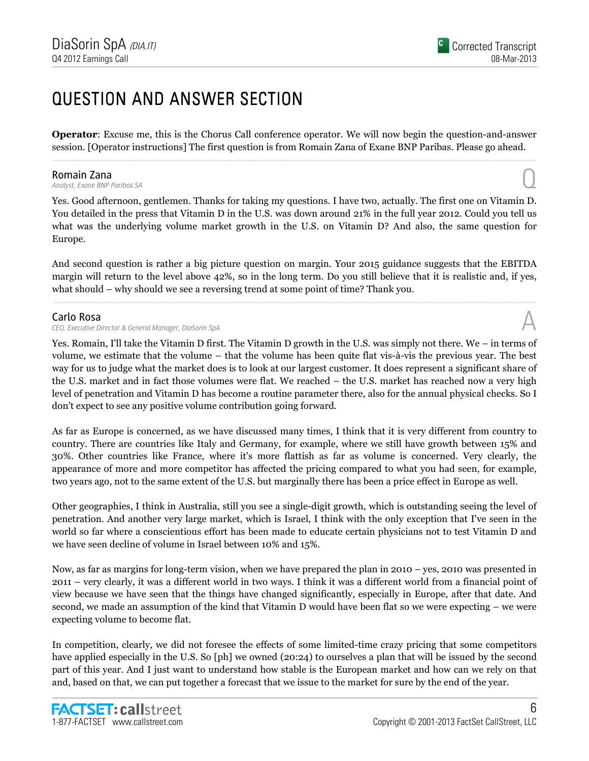Operator: Excuse me, this is the Chorus Call conference operator. We will now begin the question-and-answer session. [Operator instructions] The first question is from Romain Zana of Exane BNP Paribas. Please go ahead.

**Romain Zana**<br>Analyst, Exane BNP Paribas SA **Romain Zana**<br>Analyst, Exane BNP Paribas SA  $\bigodot$ 

Yes. Good afternoon, gentlemen. Thanks for taking my questions. I have two, actually. The first one on Vitamin D. You detailed in the press that Vitamin D in the U.S. was down around 21% in the full year 2012. Could you tell us what was the underlying volume market growth in the U.S. on Vitamin D? And also, the same question for Europe.

And second question is rather a big picture question on margin. Your 2015 guidance suggests that the EBITDA margin will return to the level above 42%, so in the long term. Do you still believe that it is realistic and, if yes, what should – why should we see a reversing trend at some point of time? Thank you.

#### Carlo Rosa

CEO, Executive Director & General Manager, DiaSorin SpA

Yes. Romain, I'll take the Vitamin D first. The Vitamin D growth in the U.S. was simply not there. We – in terms of volume, we estimate that the volume – that the volume has been quite flat vis-à-vis the previous year. The best way for us to judge what the market does is to look at our largest customer. It does represent a significant share of the U.S. market and in fact those volumes were flat. We reached – the U.S. market has reached now a very high level of penetration and Vitamin D has become a routine parameter there, also for the annual physical checks. So I don't expect to see any positive volume contribution going forward.

As far as Europe is concerned, as we have discussed many times, I think that it is very different from country to country. There are countries like Italy and Germany, for example, where we still have growth between 15% and 30%. Other countries like France, where it's more flattish as far as volume is concerned. Very clearly, the appearance of more and more competitor has affected the pricing compared to what you had seen, for example, two years ago, not to the same extent of the U.S. but marginally there has been a price effect in Europe as well.

Other geographies, I think in Australia, still you see a single-digit growth, which is outstanding seeing the level of penetration. And another very large market, which is Israel, I think with the only exception that I've seen in the world so far where a conscientious effort has been made to educate certain physicians not to test Vitamin D and we have seen decline of volume in Israel between 10% and 15%.

Now, as far as margins for long-term vision, when we have prepared the plan in 2010 – yes, 2010 was presented in 2011 – very clearly, it was a different world in two ways. I think it was a different world from a financial point of view because we have seen that the things have changed significantly, especially in Europe, after that date. And second, we made an assumption of the kind that Vitamin D would have been flat so we were expecting – we were expecting volume to become flat.

In competition, clearly, we did not foresee the effects of some limited-time crazy pricing that some competitors have applied especially in the U.S. So [ph] we owned (20:24) to ourselves a plan that will be issued by the second part of this year. And I just want to understand how stable is the European market and how can we rely on that and, based on that, we can put together a forecast that we issue to the market for sure by the end of the year.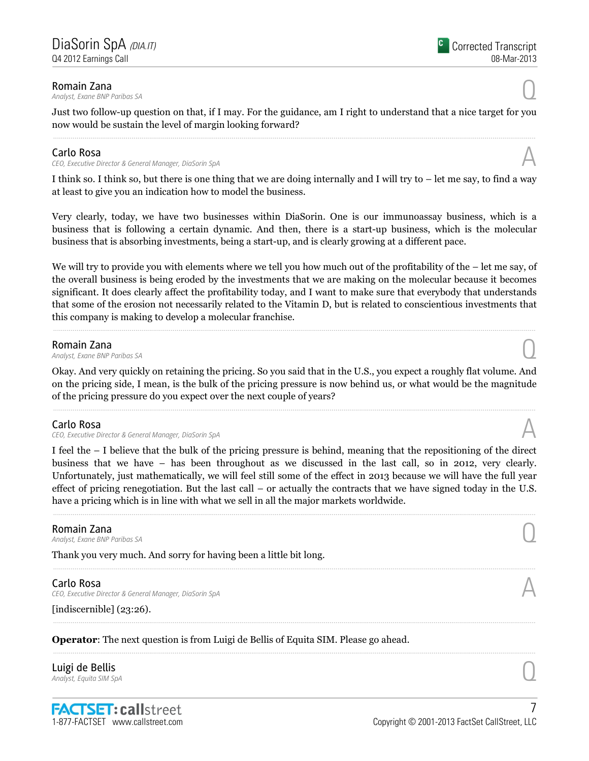**Romain Zana**<br>Analyst, Exane BNP Paribas SA **Romain Zana**<br>Analyst, Exane BNP Paribas SA  $\bigodot$ 

Just two follow-up question on that, if I may. For the guidance, am I right to understand that a nice target for you now would be sustain the level of margin looking forward?

### Carlo Rosa

CEO, Executive Director & General Manager, DiaSorin SpA

I think so. I think so, but there is one thing that we are doing internally and I will try to – let me say, to find a way at least to give you an indication how to model the business.

Very clearly, today, we have two businesses within DiaSorin. One is our immunoassay business, which is a business that is following a certain dynamic. And then, there is a start-up business, which is the molecular business that is absorbing investments, being a start-up, and is clearly growing at a different pace.

We will try to provide you with elements where we tell you how much out of the profitability of the – let me say, of the overall business is being eroded by the investments that we are making on the molecular because it becomes significant. It does clearly affect the profitability today, and I want to make sure that everybody that understands that some of the erosion not necessarily related to the Vitamin D, but is related to conscientious investments that this company is making to develop a molecular franchise.

**Romain Zana**<br>Analyst, Exane BNP Paribas SA **Romain Zana**<br>Analyst, Exane BNP Paribas SA  $\bigodot$ 

Okay. And very quickly on retaining the pricing. So you said that in the U.S., you expect a roughly flat volume. And on the pricing side, I mean, is the bulk of the pricing pressure is now behind us, or what would be the magnitude of the pricing pressure do you expect over the next couple of years?

### Carlo Rosa

CEO, Executive Director & General Manager, DiaSorin SpA

I feel the – I believe that the bulk of the pricing pressure is behind, meaning that the repositioning of the direct business that we have – has been throughout as we discussed in the last call, so in 2012, very clearly. Unfortunately, just mathematically, we will feel still some of the effect in 2013 because we will have the full year effect of pricing renegotiation. But the last call – or actually the contracts that we have signed today in the U.S. have a pricing which is in line with what we sell in all the major markets worldwide.

**Romain Zana**<br>Analyst, Exane BNP Paribas SA **Romain Zana**<br>Analyst, Exane BNP Paribas SA  $\bigodot$ 

Thank you very much. And sorry for having been a little bit long.

#### Carlo Rosa

CEO, Executive Director & General Manager, DiaSorin SpA

 $[indiscernible]$  (23:26).

Operator: The next question is from Luigi de Bellis of Equita SIM. Please go ahead.

Luigi de Bellis **Luigi de Bellis**  $\bigodot$ <br>Analyst, Equita SIM SpA





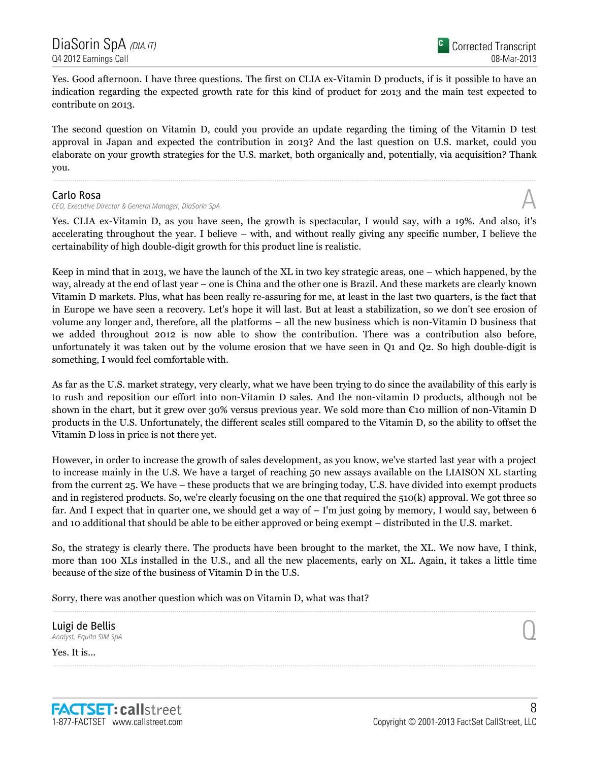Yes. Good afternoon. I have three questions. The first on CLIA ex-Vitamin D products, if is it possible to have an indication regarding the expected growth rate for this kind of product for 2013 and the main test expected to contribute on 2013.

The second question on Vitamin D, could you provide an update regarding the timing of the Vitamin D test approval in Japan and expected the contribution in 2013? And the last question on U.S. market, could you elaborate on your growth strategies for the U.S. market, both organically and, potentially, via acquisition? Thank you.

#### Carlo Rosa

CEO, Executive Director & General Manager, DiaSorin SpA

Yes. CLIA ex-Vitamin D, as you have seen, the growth is spectacular, I would say, with a 19%. And also, it's accelerating throughout the year. I believe – with, and without really giving any specific number, I believe the certainability of high double-digit growth for this product line is realistic.

Keep in mind that in 2013, we have the launch of the XL in two key strategic areas, one – which happened, by the way, already at the end of last year – one is China and the other one is Brazil. And these markets are clearly known Vitamin D markets. Plus, what has been really re-assuring for me, at least in the last two quarters, is the fact that in Europe we have seen a recovery. Let's hope it will last. But at least a stabilization, so we don't see erosion of volume any longer and, therefore, all the platforms – all the new business which is non-Vitamin D business that we added throughout 2012 is now able to show the contribution. There was a contribution also before, unfortunately it was taken out by the volume erosion that we have seen in Q1 and Q2. So high double-digit is something, I would feel comfortable with.

As far as the U.S. market strategy, very clearly, what we have been trying to do since the availability of this early is to rush and reposition our effort into non-Vitamin D sales. And the non-vitamin D products, although not be shown in the chart, but it grew over 30% versus previous year. We sold more than €10 million of non-Vitamin D products in the U.S. Unfortunately, the different scales still compared to the Vitamin D, so the ability to offset the Vitamin D loss in price is not there yet.

However, in order to increase the growth of sales development, as you know, we've started last year with a project to increase mainly in the U.S. We have a target of reaching 50 new assays available on the LIAISON XL starting from the current 25. We have – these products that we are bringing today, U.S. have divided into exempt products and in registered products. So, we're clearly focusing on the one that required the 510(k) approval. We got three so far. And I expect that in quarter one, we should get a way of – I'm just going by memory, I would say, between 6 and 10 additional that should be able to be either approved or being exempt – distributed in the U.S. market.

So, the strategy is clearly there. The products have been brought to the market, the XL. We now have, I think, more than 100 XLs installed in the U.S., and all the new placements, early on XL. Again, it takes a little time because of the size of the business of Vitamin D in the U.S.

Sorry, there was another question which was on Vitamin D, what was that?

**Luigi de Bellis**<br>Analyst, Equita SIM SpA **Luigi de Bellis**  $\bigodot$ <br>Analyst, Equita SIM SpA

Yes. It is...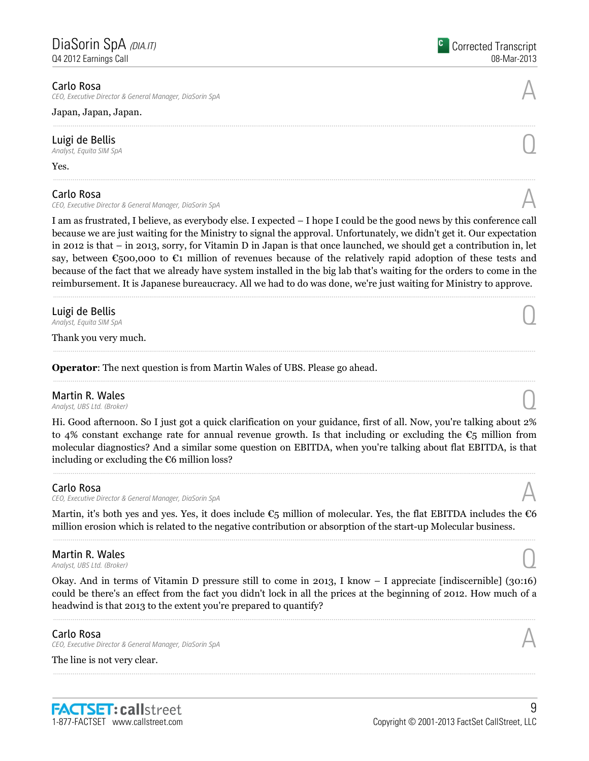#### Carlo Rosa

CEO, Executive Director & General Manager, DiaSorin SpA A

#### Japan, Japan, Japan.

### Luigi de Bellis **Luigi de Bellis**  $\bigodot$ <br>Analyst, Equita SIM SpA

Yes.

#### Carlo Rosa

CEO, Executive Director & General Manager, DiaSorin SpA

I am as frustrated, I believe, as everybody else. I expected – I hope I could be the good news by this conference call because we are just waiting for the Ministry to signal the approval. Unfortunately, we didn't get it. Our expectation in 2012 is that – in 2013, sorry, for Vitamin D in Japan is that once launched, we should get a contribution in, let say, between  $\epsilon$ 500,000 to  $\epsilon$ 1 million of revenues because of the relatively rapid adoption of these tests and because of the fact that we already have system installed in the big lab that's waiting for the orders to come in the reimbursement. It is Japanese bureaucracy. All we had to do was done, we're just waiting for Ministry to approve.

Luigi de Bellis<br>Analyst, Equita SIM SpA **Luigi de Bellis**  $\bigodot$ <br>Analyst, Equita SIM SpA

Thank you very much.

Operator: The next question is from Martin Wales of UBS. Please go ahead.

# **Martin R. Wales**  $\bigcirc$  **Q**  $\bigcirc$  **Q**  $\bigcirc$  **Q**  $\bigcirc$  **Q**  $\bigcirc$  **Q**  $\bigcirc$  *Analyst, UBS Ltd. (Broker)*  $\bigcirc$

**Martin R. Wales**<br>Analyst, UBS Ltd. (Broker)

Hi. Good afternoon. So I just got a quick clarification on your guidance, first of all. Now, you're talking about 2% to 4% constant exchange rate for annual revenue growth. Is that including or excluding the  $\mathfrak{C}_5$  million from molecular diagnostics? And a similar some question on EBITDA, when you're talking about flat EBITDA, is that including or excluding the  $€6$  million loss?

#### Carlo Rosa

CEO, Executive Director & General Manager, DiaSorin SpA

Martin, it's both yes and yes. Yes, it does include  $\epsilon_5$  million of molecular. Yes, the flat EBITDA includes the  $\epsilon_6$ million erosion which is related to the negative contribution or absorption of the start-up Molecular business.

# **Martin R. Wales**  $\bigcirc$  **Q** analyst, UBS Ltd. (Broker)

**Martin R. Wales**<br>Analyst, UBS Ltd. (Broker)

Okay. And in terms of Vitamin D pressure still to come in 2013, I know – I appreciate [indiscernible] (30:16) could be there's an effect from the fact you didn't lock in all the prices at the beginning of 2012. How much of a headwind is that 2013 to the extent you're prepared to quantify?

......................................................................................................................................................................................................................................................

#### Carlo Rosa

CEO, Executive Director & General Manager, DiaSorin SpA

The line is not very clear.







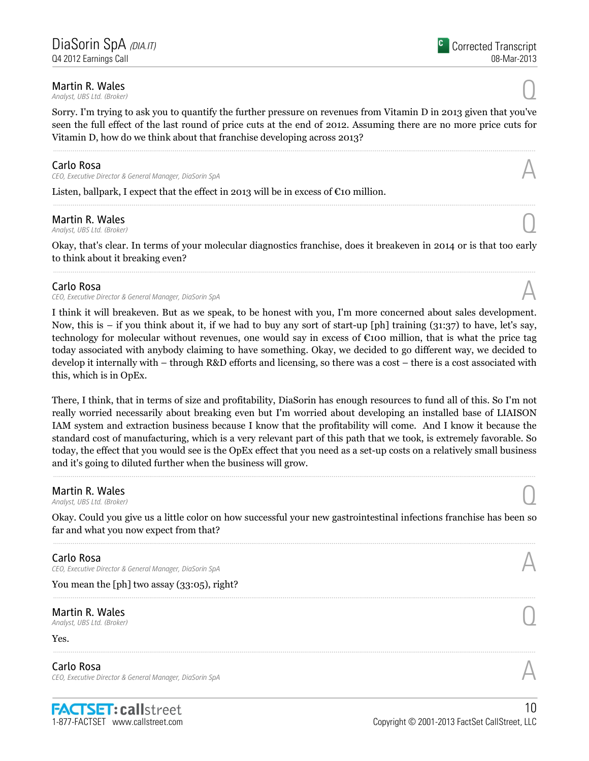### **Martin R. Wales**<br>Analyst, UBS Ltd. (Broker) **Martin R. Wales**  $\bigcirc$  **Q** analyst, UBS Ltd. (Broker)

Sorry. I'm trying to ask you to quantify the further pressure on revenues from Vitamin D in 2013 given that you've seen the full effect of the last round of price cuts at the end of 2012. Assuming there are no more price cuts for Vitamin D, how do we think about that franchise developing across 2013?

#### Carlo Rosa

CEO, Executive Director & General Manager, DiaSorin SpA

Listen, ballpark, I expect that the effect in 2013 will be in excess of  $\epsilon$ 10 million.

### Martin R. Wales **Martin R. Wales**  $\bigcirc$  **Q** analyst, UBS Ltd. (Broker)

Okay, that's clear. In terms of your molecular diagnostics franchise, does it breakeven in 2014 or is that too early to think about it breaking even?

......................................................................................................................................................................................................................................................

#### Carlo Rosa

CEO, Executive Director & General Manager, DiaSorin SpA

I think it will breakeven. But as we speak, to be honest with you, I'm more concerned about sales development. Now, this is – if you think about it, if we had to buy any sort of start-up [ph] training (31:37) to have, let's say, technology for molecular without revenues, one would say in excess of  $\epsilon$ 100 million, that is what the price tag today associated with anybody claiming to have something. Okay, we decided to go different way, we decided to develop it internally with – through R&D efforts and licensing, so there was a cost – there is a cost associated with this, which is in OpEx.

There, I think, that in terms of size and profitability, DiaSorin has enough resources to fund all of this. So I'm not really worried necessarily about breaking even but I'm worried about developing an installed base of LIAISON IAM system and extraction business because I know that the profitability will come. And I know it because the standard cost of manufacturing, which is a very relevant part of this path that we took, is extremely favorable. So today, the effect that you would see is the OpEx effect that you need as a set-up costs on a relatively small business and it's going to diluted further when the business will grow.

### **Martin R. Wales**<br>Analyst, UBS Ltd. (Broker) **Martin R. Wales**  $\bigcirc$  **Q** analyst, UBS Ltd. (Broker)

Okay. Could you give us a little color on how successful your new gastrointestinal infections franchise has been so far and what you now expect from that?

#### Carlo Rosa

CEO, Executive Director & General Manager, DiaSorin SpA A

You mean the [ph] two assay (33:05), right?

Martin R. Wales **Martin R. Wales**  $\bigcirc$  **Q** analyst, UBS Ltd. (Broker)

Yes.

Carlo Rosa CEO, Executive Director & General Manager, DiaSorin SpA

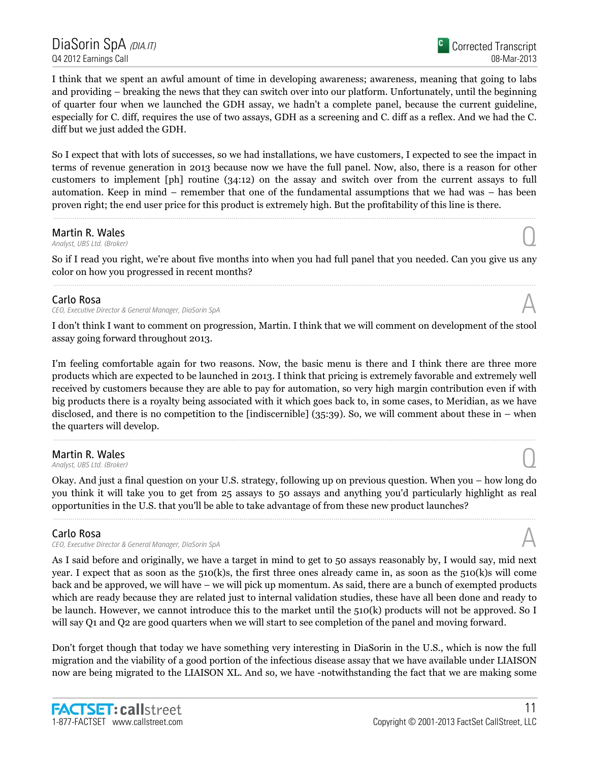I think that we spent an awful amount of time in developing awareness; awareness, meaning that going to labs and providing – breaking the news that they can switch over into our platform. Unfortunately, until the beginning of quarter four when we launched the GDH assay, we hadn't a complete panel, because the current guideline, especially for C. diff, requires the use of two assays, GDH as a screening and C. diff as a reflex. And we had the C. diff but we just added the GDH.

So I expect that with lots of successes, so we had installations, we have customers, I expected to see the impact in terms of revenue generation in 2013 because now we have the full panel. Now, also, there is a reason for other customers to implement [ph] routine (34:12) on the assay and switch over from the current assays to full automation. Keep in mind – remember that one of the fundamental assumptions that we had was – has been proven right; the end user price for this product is extremely high. But the profitability of this line is there.

### **Martin R. Wales**<br>Analyst, UBS Ltd. (Broker) **Martin R. Wales**  $\bigcirc$  **Q** analyst, UBS Ltd. (Broker)

So if I read you right, we're about five months into when you had full panel that you needed. Can you give us any color on how you progressed in recent months?

#### Carlo Rosa

CEO, Executive Director & General Manager, DiaSorin SpA

I don't think I want to comment on progression, Martin. I think that we will comment on development of the stool assay going forward throughout 2013.

I'm feeling comfortable again for two reasons. Now, the basic menu is there and I think there are three more products which are expected to be launched in 2013. I think that pricing is extremely favorable and extremely well received by customers because they are able to pay for automation, so very high margin contribution even if with big products there is a royalty being associated with it which goes back to, in some cases, to Meridian, as we have disclosed, and there is no competition to the [indiscernible] (35:39). So, we will comment about these in – when the quarters will develop.

### **Martin R. Wales**<br>Analyst, UBS Ltd. (Broker) **Martin R. Wales**  $\bigcirc$  **Q** analyst, UBS Ltd. (Broker)

Okay. And just a final question on your U.S. strategy, following up on previous question. When you – how long do you think it will take you to get from 25 assays to 50 assays and anything you'd particularly highlight as real opportunities in the U.S. that you'll be able to take advantage of from these new product launches?

......................................................................................................................................................................................................................................................

### Carlo Rosa

CEO, Executive Director & General Manager, DiaSorin SpA

As I said before and originally, we have a target in mind to get to 50 assays reasonably by, I would say, mid next year. I expect that as soon as the  $510(k)s$ , the first three ones already came in, as soon as the  $510(k)s$  will come back and be approved, we will have – we will pick up momentum. As said, there are a bunch of exempted products which are ready because they are related just to internal validation studies, these have all been done and ready to be launch. However, we cannot introduce this to the market until the 510(k) products will not be approved. So I will say Q1 and Q2 are good quarters when we will start to see completion of the panel and moving forward.

Don't forget though that today we have something very interesting in DiaSorin in the U.S., which is now the full migration and the viability of a good portion of the infectious disease assay that we have available under LIAISON now are being migrated to the LIAISON XL. And so, we have -notwithstanding the fact that we are making some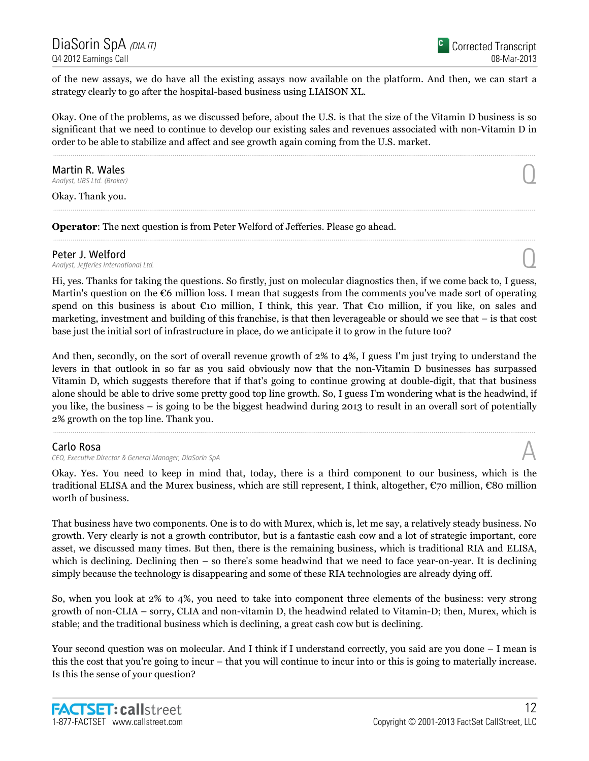of the new assays, we do have all the existing assays now available on the platform. And then, we can start a strategy clearly to go after the hospital-based business using LIAISON XL.

Okay. One of the problems, as we discussed before, about the U.S. is that the size of the Vitamin D business is so significant that we need to continue to develop our existing sales and revenues associated with non-Vitamin D in order to be able to stabilize and affect and see growth again coming from the U.S. market.

### **Martin R. Wales**<br>Analyst, UBS Ltd. (Broker) **Martin R. Wales**  $\bigcirc$  **Q** analyst, UBS Ltd. (Broker)

Okay. Thank you.

Operator: The next question is from Peter Welford of Jefferies. Please go ahead.

Peter J. Welford<br>Analyst, Jefferies International Ltd. Peter J. Welford  $\bigcap_{\text{Analytic}.\text{A}\text{radius}$  is international Ltd.

Hi, yes. Thanks for taking the questions. So firstly, just on molecular diagnostics then, if we come back to, I guess, Martin's question on the  $\epsilon$ 6 million loss. I mean that suggests from the comments you've made sort of operating spend on this business is about €10 million, I think, this year. That €10 million, if you like, on sales and marketing, investment and building of this franchise, is that then leverageable or should we see that – is that cost base just the initial sort of infrastructure in place, do we anticipate it to grow in the future too?

And then, secondly, on the sort of overall revenue growth of 2% to 4%, I guess I'm just trying to understand the levers in that outlook in so far as you said obviously now that the non-Vitamin D businesses has surpassed Vitamin D, which suggests therefore that if that's going to continue growing at double-digit, that that business alone should be able to drive some pretty good top line growth. So, I guess I'm wondering what is the headwind, if you like, the business – is going to be the biggest headwind during 2013 to result in an overall sort of potentially 2% growth on the top line. Thank you.

#### Carlo Rosa

CEO, Executive Director & General Manager, DiaSorin SpA

Okay. Yes. You need to keep in mind that, today, there is a third component to our business, which is the traditional ELISA and the Murex business, which are still represent, I think, altogether, €70 million, €80 million worth of business.

That business have two components. One is to do with Murex, which is, let me say, a relatively steady business. No growth. Very clearly is not a growth contributor, but is a fantastic cash cow and a lot of strategic important, core asset, we discussed many times. But then, there is the remaining business, which is traditional RIA and ELISA, which is declining. Declining then – so there's some headwind that we need to face year-on-year. It is declining simply because the technology is disappearing and some of these RIA technologies are already dying off.

So, when you look at 2% to 4%, you need to take into component three elements of the business: very strong growth of non-CLIA – sorry, CLIA and non-vitamin D, the headwind related to Vitamin-D; then, Murex, which is stable; and the traditional business which is declining, a great cash cow but is declining.

Your second question was on molecular. And I think if I understand correctly, you said are you done – I mean is this the cost that you're going to incur – that you will continue to incur into or this is going to materially increase. Is this the sense of your question?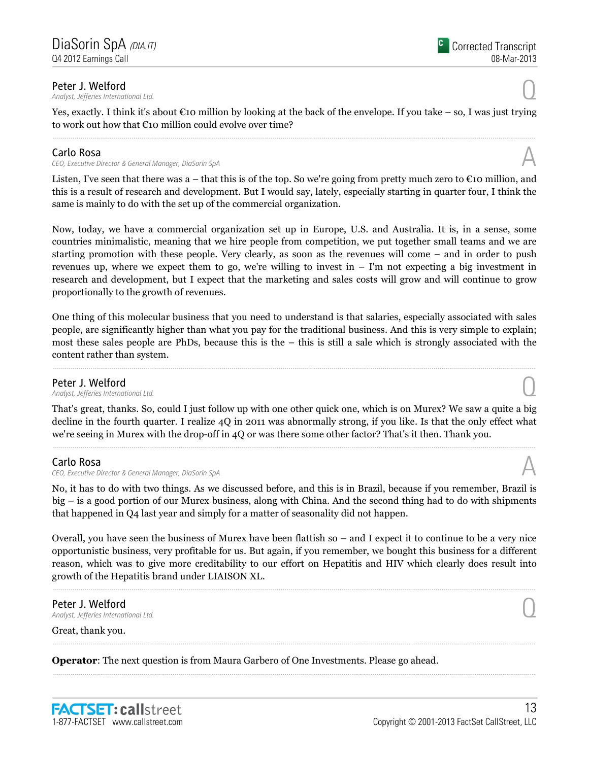**Peter J. Welford**<br>Analyst, Jefferies International Ltd. Peter J. Welford  $\bigcap_{\text{Analytic},\text{Lefferies International Ltd.}}$ 

Yes, exactly. I think it's about  $\epsilon$ 10 million by looking at the back of the envelope. If you take – so, I was just trying to work out how that €10 million could evolve over time?

### Carlo Rosa

CEO, Executive Director & General Manager, DiaSorin SpA

Listen, I've seen that there was a – that this is of the top. So we're going from pretty much zero to  $\epsilon$ 10 million, and this is a result of research and development. But I would say, lately, especially starting in quarter four, I think the same is mainly to do with the set up of the commercial organization.

Now, today, we have a commercial organization set up in Europe, U.S. and Australia. It is, in a sense, some countries minimalistic, meaning that we hire people from competition, we put together small teams and we are starting promotion with these people. Very clearly, as soon as the revenues will come – and in order to push revenues up, where we expect them to go, we're willing to invest in  $-$  I'm not expecting a big investment in research and development, but I expect that the marketing and sales costs will grow and will continue to grow proportionally to the growth of revenues.

One thing of this molecular business that you need to understand is that salaries, especially associated with sales people, are significantly higher than what you pay for the traditional business. And this is very simple to explain; most these sales people are PhDs, because this is the – this is still a sale which is strongly associated with the content rather than system.

Peter J. Welford<br>Analyst, Jefferies International Ltd. Peter J. Welford  $\bigcup_{\text{Analytic}(\text{A})}$  analyst, Jefferies International Ltd.

That's great, thanks. So, could I just follow up with one other quick one, which is on Murex? We saw a quite a big decline in the fourth quarter. I realize 4Q in 2011 was abnormally strong, if you like. Is that the only effect what we're seeing in Murex with the drop-off in 4Q or was there some other factor? That's it then. Thank you.

#### Carlo Rosa

CEO, Executive Director & General Manager, DiaSorin SpA

No, it has to do with two things. As we discussed before, and this is in Brazil, because if you remember, Brazil is big – is a good portion of our Murex business, along with China. And the second thing had to do with shipments that happened in Q4 last year and simply for a matter of seasonality did not happen.

Overall, you have seen the business of Murex have been flattish so – and I expect it to continue to be a very nice opportunistic business, very profitable for us. But again, if you remember, we bought this business for a different reason, which was to give more creditability to our effort on Hepatitis and HIV which clearly does result into growth of the Hepatitis brand under LIAISON XL.

......................................................................................................................................................................................................................................................

Peter J. Welford<br>Analyst, Jefferies International Ltd. Peter J. Welford  $\bigcap_{\text{Analytic}.\text{A}\text{radius}$  is international Ltd.

Great, thank you.

Operator: The next question is from Maura Garbero of One Investments. Please go ahead.



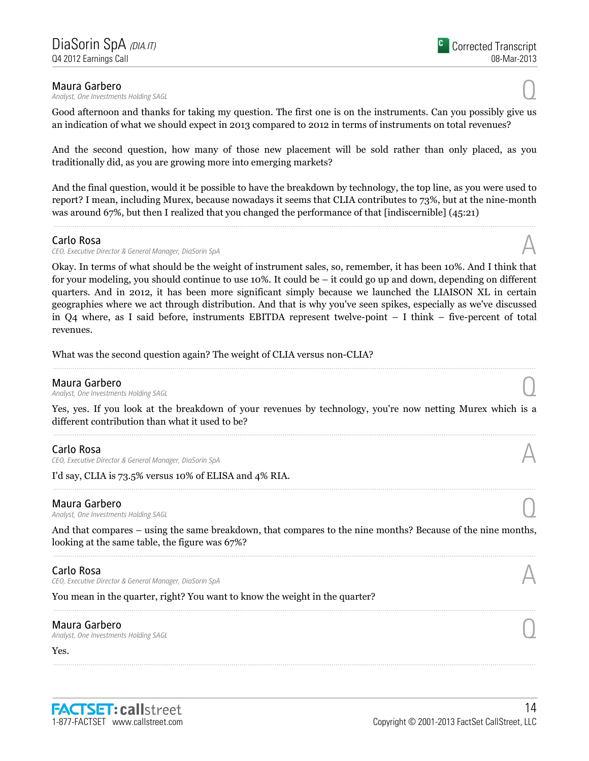**Maura Garbero**<br>Analyst, One Investments Holding SAGL **Maura Garbero**<br>Analyst, One Investments Holding SAGL  $\bigcup$ 

Good afternoon and thanks for taking my question. The first one is on the instruments. Can you possibly give us an indication of what we should expect in 2013 compared to 2012 in terms of instruments on total revenues?

And the second question, how many of those new placement will be sold rather than only placed, as you traditionally did, as you are growing more into emerging markets?

And the final question, would it be possible to have the breakdown by technology, the top line, as you were used to report? I mean, including Murex, because nowadays it seems that CLIA contributes to 73%, but at the nine-month was around 67%, but then I realized that you changed the performance of that [indiscernible] (45:21)

#### Carlo Rosa

CEO, Executive Director & General Manager, DiaSorin SpA

Okay. In terms of what should be the weight of instrument sales, so, remember, it has been 10%. And I think that for your modeling, you should continue to use 10%. It could be – it could go up and down, depending on different quarters. And in 2012, it has been more significant simply because we launched the LIAISON XL in certain geographies where we act through distribution. And that is why you've seen spikes, especially as we've discussed in Q4 where, as I said before, instruments EBITDA represent twelve-point – I think – five-percent of total revenues.

What was the second question again? The weight of CLIA versus non-CLIA?

**Maura Garbero**<br>Analyst, One Investments Holding SAGL **Maura Garbero**<br>Analyst, One Investments Holding SAGL  $\bigcup$ 

Yes, yes. If you look at the breakdown of your revenues by technology, you're now netting Murex which is a different contribution than what it used to be?

#### Carlo Rosa

CEO, Executive Director & General Manager, DiaSorin SpA

I'd say, CLIA is 73.5% versus 10% of ELISA and 4% RIA.

**Maura Garbero**<br>Analyst, One Investments Holding SAGL **Maura Garbero**<br>Analyst, One Investments Holding SAGL  $\bigcup$ 

And that compares – using the same breakdown, that compares to the nine months? Because of the nine months, looking at the same table, the figure was 67%? ......................................................................................................................................................................................................................................................

#### Carlo Rosa

CEO, Executive Director & General Manager, DiaSorin SpA

You mean in the quarter, right? You want to know the weight in the quarter?

### **Maura Garbero**<br>Analyst, One Investments Holding SAGL **Maura Garbero**<br>Analyst, One Investments Holding SAGL  $\bigcup$

Yes.



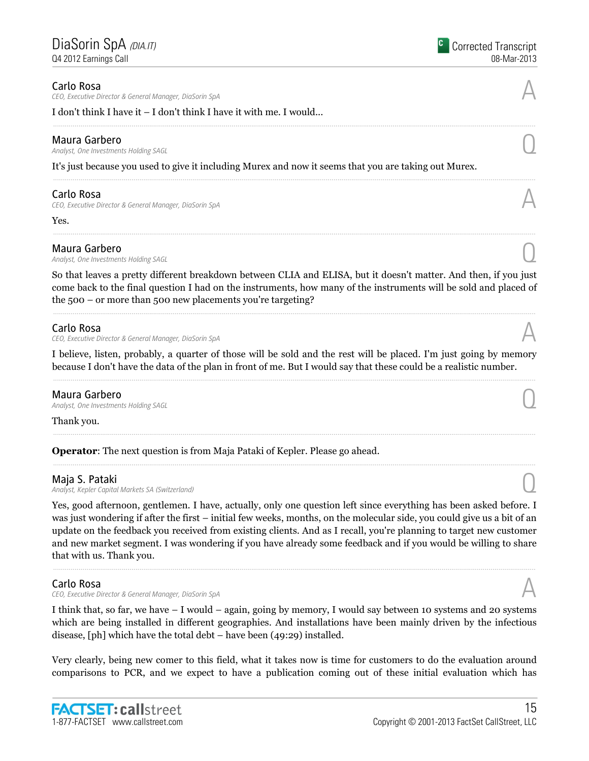#### Carlo Rosa

CEO, Executive Director & General Manager, DiaSorin SpA

#### I don't think I have it – I don't think I have it with me. I would...

**Maura Garbero**<br>Analyst, One Investments Holding SAGL **Maura Garbero**<br>Analyst, One Investments Holding SAGL  $\bigcup$ 

It's just because you used to give it including Murex and now it seems that you are taking out Murex.

#### Carlo Rosa

CEO, Executive Director & General Manager, DiaSorin SpA A

Yes.

**Maura Garbero**<br>Analyst, One Investments Holding SAGL **Maura Garbero**<br>Analyst, One Investments Holding SAGL  $\bigcup$ 

So that leaves a pretty different breakdown between CLIA and ELISA, but it doesn't matter. And then, if you just come back to the final question I had on the instruments, how many of the instruments will be sold and placed of the 500 – or more than 500 new placements you're targeting?

### Carlo Rosa

CEO, Executive Director & General Manager, DiaSorin SpA

I believe, listen, probably, a quarter of those will be sold and the rest will be placed. I'm just going by memory because I don't have the data of the plan in front of me. But I would say that these could be a realistic number.

**Maura Garbero**<br>Analyst, One Investments Holding SAGL **Maura Garbero**<br>Analyst, One Investments Holding SAGL  $\bigcup$ 

Thank you.

Operator: The next question is from Maja Pataki of Kepler. Please go ahead.

#### Maja S. Pataki

Analyst, Kepler Capital Markets SA (Switzerland) Q

Yes, good afternoon, gentlemen. I have, actually, only one question left since everything has been asked before. I was just wondering if after the first – initial few weeks, months, on the molecular side, you could give us a bit of an update on the feedback you received from existing clients. And as I recall, you're planning to target new customer and new market segment. I was wondering if you have already some feedback and if you would be willing to share that with us. Thank you.

### Carlo Rosa

CEO, Executive Director & General Manager, DiaSorin SpA

I think that, so far, we have – I would – again, going by memory, I would say between 10 systems and 20 systems which are being installed in different geographies. And installations have been mainly driven by the infectious disease, [ph] which have the total debt – have been (49:29) installed.

Very clearly, being new comer to this field, what it takes now is time for customers to do the evaluation around comparisons to PCR, and we expect to have a publication coming out of these initial evaluation which has





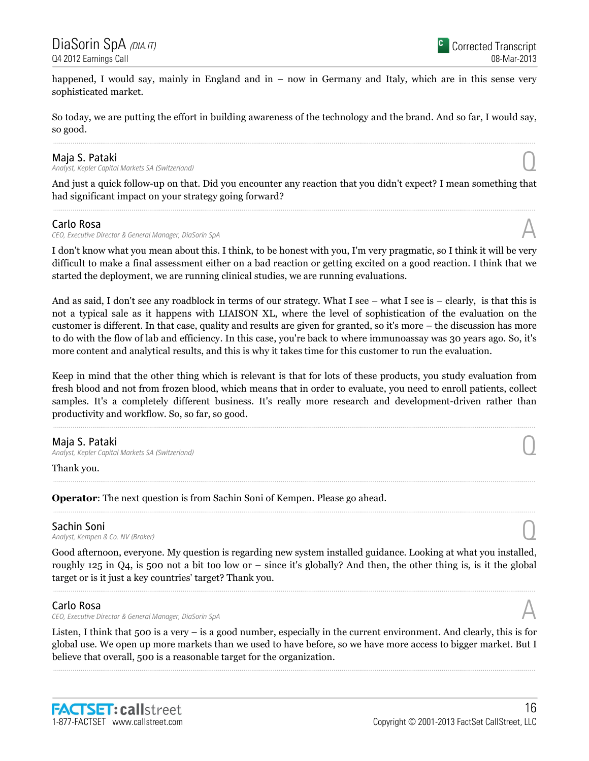happened, I would say, mainly in England and in – now in Germany and Italy, which are in this sense very sophisticated market.

So today, we are putting the effort in building awareness of the technology and the brand. And so far, I would say, so good.

#### Maja S. Pataki

Analyst, Kepler Capital Markets SA (Switzerland) Q

And just a quick follow-up on that. Did you encounter any reaction that you didn't expect? I mean something that had significant impact on your strategy going forward?

#### Carlo Rosa

CEO, Executive Director & General Manager, DiaSorin SpA

I don't know what you mean about this. I think, to be honest with you, I'm very pragmatic, so I think it will be very difficult to make a final assessment either on a bad reaction or getting excited on a good reaction. I think that we started the deployment, we are running clinical studies, we are running evaluations.

And as said, I don't see any roadblock in terms of our strategy. What I see – what I see is – clearly, is that this is not a typical sale as it happens with LIAISON XL, where the level of sophistication of the evaluation on the customer is different. In that case, quality and results are given for granted, so it's more – the discussion has more to do with the flow of lab and efficiency. In this case, you're back to where immunoassay was 30 years ago. So, it's more content and analytical results, and this is why it takes time for this customer to run the evaluation.

Keep in mind that the other thing which is relevant is that for lots of these products, you study evaluation from fresh blood and not from frozen blood, which means that in order to evaluate, you need to enroll patients, collect samples. It's a completely different business. It's really more research and development-driven rather than productivity and workflow. So, so far, so good.

Maja S. Pataki<br>Analyst, Kepler Capital Markets SA (Switzerland) Maja S. Pataki<br>Analyst, Kepler Capital Markets SA (Switzerland) Quantity of the State of the State of State of the State of T

Thank you.

Operator: The next question is from Sachin Soni of Kempen. Please go ahead.

**Sachin Soni**<br>Analyst, Kempen & Co. NV (Broker) **Sachin Soni**<br>Analyst, Kempen & Co. NV (Broker)  $\bigodot$ 

Good afternoon, everyone. My question is regarding new system installed guidance. Looking at what you installed, roughly 125 in Q4, is 500 not a bit too low or – since it's globally? And then, the other thing is, is it the global target or is it just a key countries' target? Thank you.

#### Carlo Rosa

CEO, Executive Director & General Manager, DiaSorin SpA

Listen, I think that 500 is a very – is a good number, especially in the current environment. And clearly, this is for global use. We open up more markets than we used to have before, so we have more access to bigger market. But I believe that overall, 500 is a reasonable target for the organization.